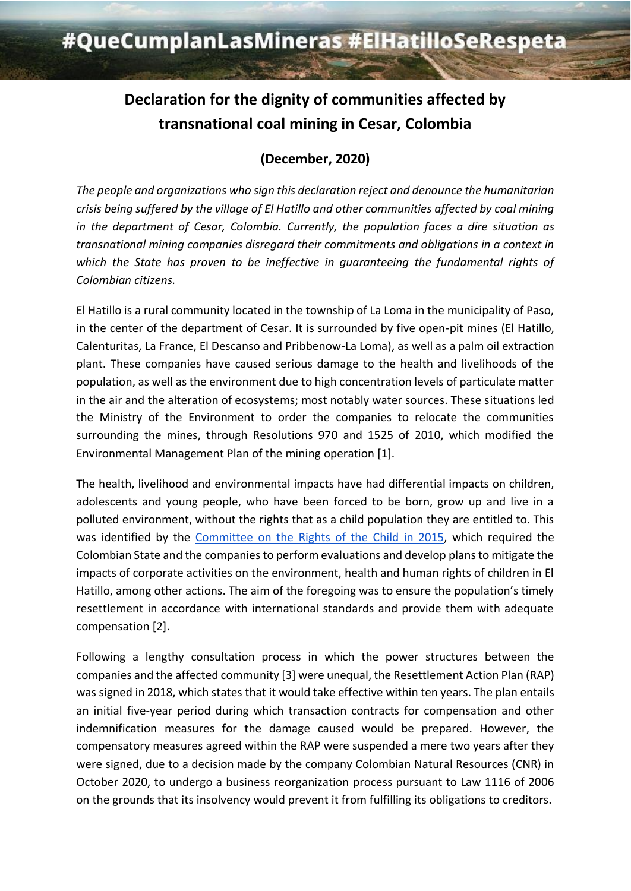# **Declaration for the dignity of communities affected by transnational coal mining in Cesar, Colombia**

## **(December, 2020)**

*The people and organizations who sign this declaration reject and denounce the humanitarian crisis being suffered by the village of El Hatillo and other communities affected by coal mining in the department of Cesar, Colombia. Currently, the population faces a dire situation as transnational mining companies disregard their commitments and obligations in a context in which the State has proven to be ineffective in guaranteeing the fundamental rights of Colombian citizens.* 

El Hatillo is a rural community located in the township of La Loma in the municipality of Paso, in the center of the department of Cesar. It is surrounded by five open-pit mines (El Hatillo, Calenturitas, La France, El Descanso and Pribbenow-La Loma), as well as a palm oil extraction plant. These companies have caused serious damage to the health and livelihoods of the population, as well as the environment due to high concentration levels of particulate matter in the air and the alteration of ecosystems; most notably water sources. These situations led the Ministry of the Environment to order the companies to relocate the communities surrounding the mines, through Resolutions 970 and 1525 of 2010, which modified the Environmental Management Plan of the mining operation [1].

The health, livelihood and environmental impacts have had differential impacts on children, adolescents and young people, who have been forced to be born, grow up and live in a polluted environment, without the rights that as a child population they are entitled to. This was identified by the [Committee on the Rights of the Child in 2015,](https://www.minsalud.gov.co/sites/rid/Lists/BibliotecaDigital/RIDE/INEC/INTOR/Informes-4-5-combinado-comite-derechos-nino.pdf) which required the Colombian State and the companies to perform evaluations and develop plans to mitigate the impacts of corporate activities on the environment, health and human rights of children in El Hatillo, among other actions. The aim of the foregoing was to ensure the population's timely resettlement in accordance with international standards and provide them with adequate compensation [2].

Following a lengthy consultation process in which the power structures between the companies and the affected community [3] were unequal, the Resettlement Action Plan (RAP) was signed in 2018, which states that it would take effective within ten years. The plan entails an initial five-year period during which transaction contracts for compensation and other indemnification measures for the damage caused would be prepared. However, the compensatory measures agreed within the RAP were suspended a mere two years after they were signed, due to a decision made by the company Colombian Natural Resources (CNR) in October 2020, to undergo a business reorganization process pursuant to Law 1116 of 2006 on the grounds that its insolvency would prevent it from fulfilling its obligations to creditors.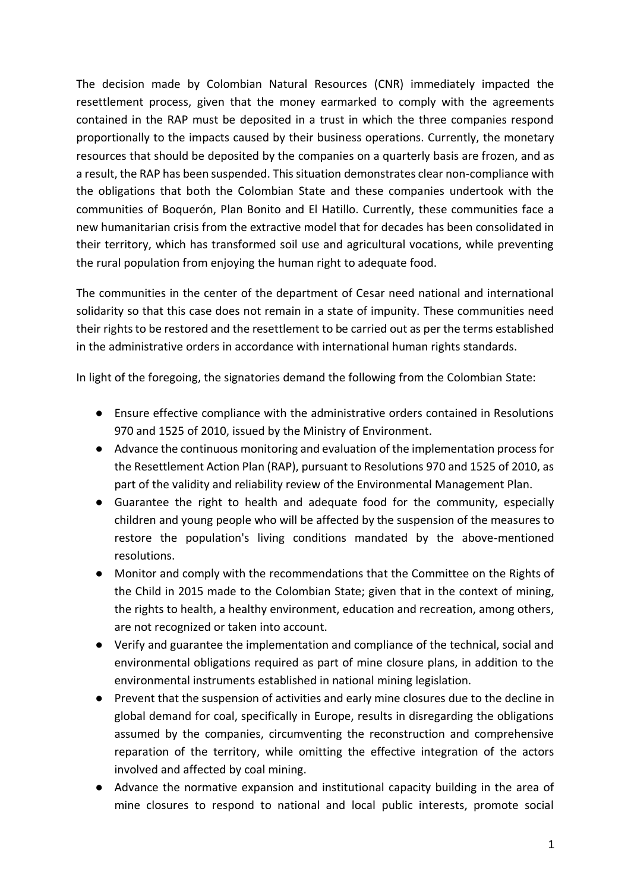The decision made by Colombian Natural Resources (CNR) immediately impacted the resettlement process, given that the money earmarked to comply with the agreements contained in the RAP must be deposited in a trust in which the three companies respond proportionally to the impacts caused by their business operations. Currently, the monetary resources that should be deposited by the companies on a quarterly basis are frozen, and as a result, the RAP has been suspended. This situation demonstrates clear non-compliance with the obligations that both the Colombian State and these companies undertook with the communities of Boquerón, Plan Bonito and El Hatillo. Currently, these communities face a new humanitarian crisis from the extractive model that for decades has been consolidated in their territory, which has transformed soil use and agricultural vocations, while preventing the rural population from enjoying the human right to adequate food.

The communities in the center of the department of Cesar need national and international solidarity so that this case does not remain in a state of impunity. These communities need their rights to be restored and the resettlement to be carried out as per the terms established in the administrative orders in accordance with international human rights standards.

In light of the foregoing, the signatories demand the following from the Colombian State:

- Ensure effective compliance with the administrative orders contained in Resolutions 970 and 1525 of 2010, issued by the Ministry of Environment.
- Advance the continuous monitoring and evaluation of the implementation process for the Resettlement Action Plan (RAP), pursuant to Resolutions 970 and 1525 of 2010, as part of the validity and reliability review of the Environmental Management Plan.
- Guarantee the right to health and adequate food for the community, especially children and young people who will be affected by the suspension of the measures to restore the population's living conditions mandated by the above-mentioned resolutions.
- Monitor and comply with the recommendations that the Committee on the Rights of the Child in 2015 made to the Colombian State; given that in the context of mining, the rights to health, a healthy environment, education and recreation, among others, are not recognized or taken into account.
- Verify and guarantee the implementation and compliance of the technical, social and environmental obligations required as part of mine closure plans, in addition to the environmental instruments established in national mining legislation.
- Prevent that the suspension of activities and early mine closures due to the decline in global demand for coal, specifically in Europe, results in disregarding the obligations assumed by the companies, circumventing the reconstruction and comprehensive reparation of the territory, while omitting the effective integration of the actors involved and affected by coal mining.
- Advance the normative expansion and institutional capacity building in the area of mine closures to respond to national and local public interests, promote social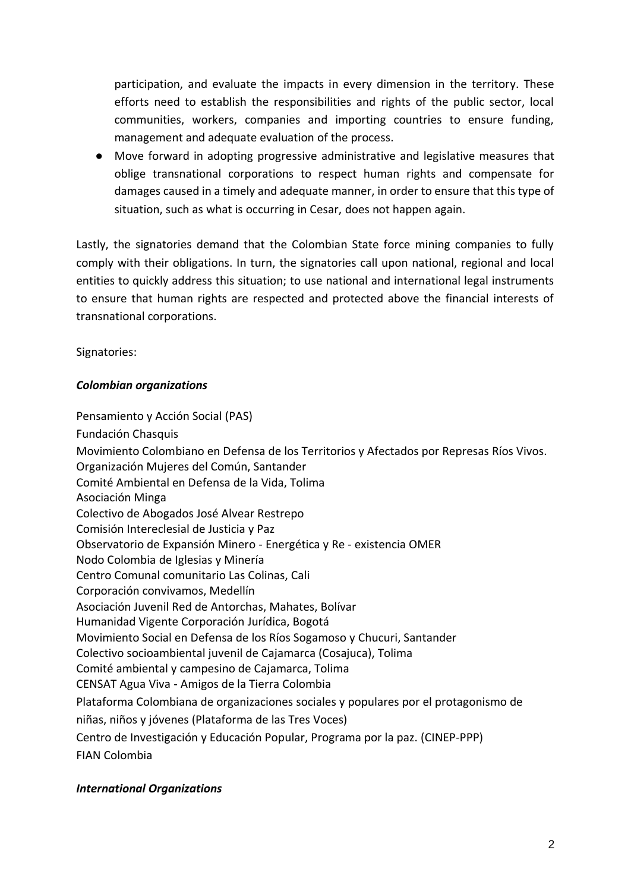participation, and evaluate the impacts in every dimension in the territory. These efforts need to establish the responsibilities and rights of the public sector, local communities, workers, companies and importing countries to ensure funding, management and adequate evaluation of the process.

● Move forward in adopting progressive administrative and legislative measures that oblige transnational corporations to respect human rights and compensate for damages caused in a timely and adequate manner, in order to ensure that this type of situation, such as what is occurring in Cesar, does not happen again.

Lastly, the signatories demand that the Colombian State force mining companies to fully comply with their obligations. In turn, the signatories call upon national, regional and local entities to quickly address this situation; to use national and international legal instruments to ensure that human rights are respected and protected above the financial interests of transnational corporations.

Signatories:

#### *Colombian organizations*

Pensamiento y Acción Social (PAS) Fundación Chasquis Movimiento Colombiano en Defensa de los Territorios y Afectados por Represas Ríos Vivos. Organización Mujeres del Común, Santander Comité Ambiental en Defensa de la Vida, Tolima Asociación Minga Colectivo de Abogados José Alvear Restrepo Comisión Intereclesial de Justicia y Paz Observatorio de Expansión Minero - Energética y Re - existencia OMER Nodo Colombia de Iglesias y Minería Centro Comunal comunitario Las Colinas, Cali Corporación convivamos, Medellín Asociación Juvenil Red de Antorchas, Mahates, Bolívar Humanidad Vigente Corporación Jurídica, Bogotá Movimiento Social en Defensa de los Ríos Sogamoso y Chucuri, Santander Colectivo socioambiental juvenil de Cajamarca (Cosajuca), Tolima Comité ambiental y campesino de Cajamarca, Tolima CENSAT Agua Viva - Amigos de la Tierra Colombia Plataforma Colombiana de organizaciones sociales y populares por el protagonismo de niñas, niños y jóvenes (Plataforma de las Tres Voces) Centro de Investigación y Educación Popular, Programa por la paz. (CINEP-PPP) FIAN Colombia

### *International Organizations*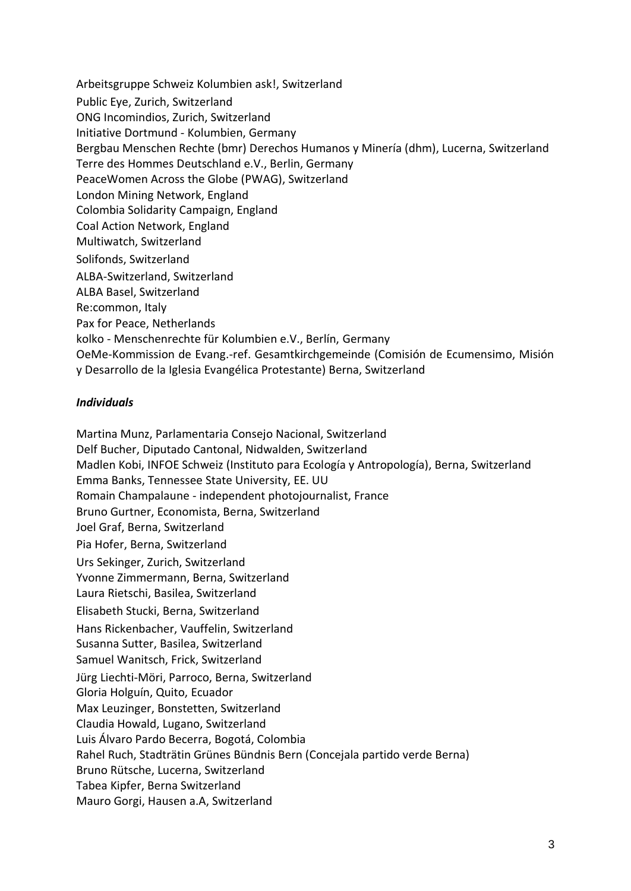Arbeitsgruppe Schweiz Kolumbien ask!, Switzerland Public Eye, Zurich, Switzerland ONG Incomindios, Zurich, Switzerland Initiative Dortmund - Kolumbien, Germany Bergbau Menschen Rechte (bmr) Derechos Humanos y Minería (dhm), Lucerna, Switzerland Terre des Hommes Deutschland e.V., Berlin, Germany PeaceWomen Across the Globe (PWAG), Switzerland London Mining Network, England Colombia Solidarity Campaign, England Coal Action Network, England Multiwatch, Switzerland Solifonds, Switzerland ALBA-Switzerland, Switzerland ALBA Basel, Switzerland Re:common, Italy Pax for Peace, Netherlands kolko - Menschenrechte für Kolumbien e.V., Berlín, Germany OeMe-Kommission de Evang.-ref. Gesamtkirchgemeinde (Comisión de Ecumensimo, Misión y Desarrollo de la Iglesia Evangélica Protestante) Berna, Switzerland

#### *Individuals*

Martina Munz, Parlamentaria Consejo Nacional, Switzerland Delf Bucher, Diputado Cantonal, Nidwalden, Switzerland Madlen Kobi, INFOE Schweiz (Instituto para Ecología y Antropología), Berna, Switzerland Emma Banks, Tennessee State University, EE. UU Romain Champalaune - independent photojournalist, France Bruno Gurtner, Economista, Berna, Switzerland Joel Graf, Berna, Switzerland Pia Hofer, Berna, Switzerland Urs Sekinger, Zurich, Switzerland Yvonne Zimmermann, Berna, Switzerland Laura Rietschi, Basilea, Switzerland Elisabeth Stucki, Berna, Switzerland Hans Rickenbacher, Vauffelin, Switzerland Susanna Sutter, Basilea, Switzerland Samuel Wanitsch, Frick, Switzerland Jürg Liechti-Möri, Parroco, Berna, Switzerland Gloria Holguín, Quito, Ecuador Max Leuzinger, Bonstetten, Switzerland Claudia Howald, Lugano, Switzerland Luis Álvaro Pardo Becerra, Bogotá, Colombia Rahel Ruch, Stadträtin Grünes Bündnis Bern (Concejala partido verde Berna) Bruno Rütsche, Lucerna, Switzerland Tabea Kipfer, Berna Switzerland Mauro Gorgi, Hausen a.A, Switzerland